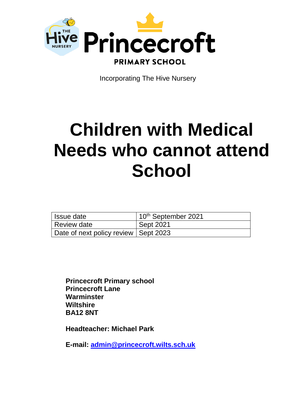

Incorporating The Hive Nursery

# **Children with Medical Needs who cannot attend School**

| Issue date                             | $10th$ September 2021 |
|----------------------------------------|-----------------------|
| Review date                            | Sept 2021             |
| Date of next policy review   Sept 2023 |                       |

**Princecroft Primary school Princecroft Lane Warminster Wiltshire BA12 8NT**

**Headteacher: Michael Park**

**E-mail: [admin@princecroft.wilts.sch.uk](mailto:admin@princecroft.wilts.sch.uk)**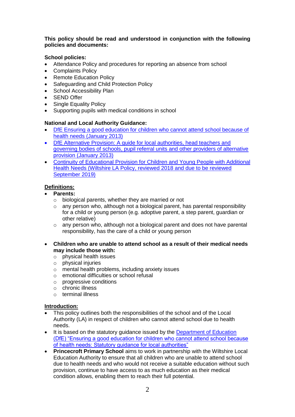## **This policy should be read and understood in conjunction with the following policies and documents:**

# **School policies:**

- Attendance Policy and procedures for reporting an absence from school
- Complaints Policy
- Remote Education Policy
- Safeguarding and Child Protection Policy
- School Accessibility Plan
- SEND Offer
- Single Equality Policy
- Supporting pupils with medical conditions in school

### **National and Local Authority Guidance:**

- [DfE Ensuring a good education for children who cannot attend school because of](https://assets.publishing.service.gov.uk/government/uploads/system/uploads/attachment_data/file/941900/health_needs_guidance_accessible.pdf)  [health needs \(January 2013\)](https://assets.publishing.service.gov.uk/government/uploads/system/uploads/attachment_data/file/941900/health_needs_guidance_accessible.pdf)
- [DfE Alternative Provision: A guide for local authorities, head teachers and](https://assets.publishing.service.gov.uk/government/uploads/system/uploads/attachment_data/file/942014/alternative_provision_statutory_guidance_accessible.pdf) [governing bodies of schools, pupil referral units and other providers of alternative](https://assets.publishing.service.gov.uk/government/uploads/system/uploads/attachment_data/file/942014/alternative_provision_statutory_guidance_accessible.pdf)  [provision \(January 2013\)](https://assets.publishing.service.gov.uk/government/uploads/system/uploads/attachment_data/file/942014/alternative_provision_statutory_guidance_accessible.pdf)
- Continuity of Educational Provision for Children and Young People with Additional Health Needs (Wiltshire LA Policy, reviewed 2018 and due to be reviewed September 2019)

## **Definitions:**

- **Parents:** 
	- $\circ$  biological parents, whether they are married or not
	- $\circ$  any person who, although not a biological parent, has parental responsibility for a child or young person (e.g. adoptive parent, a step parent, guardian or other relative)
	- $\circ$  any person who, although not a biological parent and does not have parental responsibility, has the care of a child or young person
- **Children who are unable to attend school as a result of their medical needs may include those with:**
	- o physical health issues
	- o physical injuries
	- o mental health problems, including anxiety issues
	- o emotional difficulties or school refusal
	- o progressive conditions
	- o chronic illness
	- o terminal illness

### **Introduction:**

- This policy outlines both the responsibilities of the school and of the Local Authority (LA) in respect of children who cannot attend school due to health needs.
- It is based on the statutory quidance issued by the Department of Education [\(DfE\) "Ensuring a good education for children who cannot attend school because](https://assets.publishing.service.gov.uk/government/uploads/system/uploads/attachment_data/file/941900/health_needs_guidance_accessible.pdf)  [of health needs: Statutory guidance for local authorities"](https://assets.publishing.service.gov.uk/government/uploads/system/uploads/attachment_data/file/941900/health_needs_guidance_accessible.pdf)
- **Princecroft Primary School** aims to work in partnership with the Wiltshire Local Education Authority to ensure that all children who are unable to attend school due to health needs and who would not receive a suitable education without such provision, continue to have access to as much education as their medical condition allows, enabling them to reach their full potential.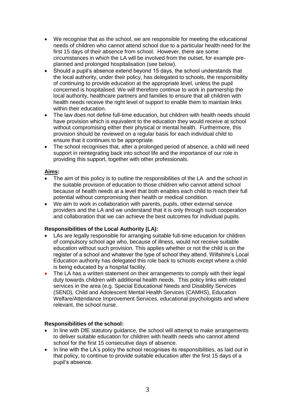- We recognise that as the school, we are responsible for meeting the educational needs of children who cannot attend school due to a particular health need for the first 15 days of their absence from school. However, there are some circumstances in which the LA will be involved from the outset, for example preplanned and prolonged hospitalisation (see below).
- Should a pupil's absence extend beyond 15 days, the school understands that the local authority, under their policy, has delegated to schools, the responsibility of continuing to provide education at the appropriate level, unless the pupil concerned is hospitalised. We will therefore continue to work in partnership the local authority, healthcare partners and families to ensure that all children with health needs receive the right level of support to enable them to maintain links within their education.
- The law does not define full-time education, but children with health needs should have provision which is equivalent to the education they would receive at school without compromising either their physical or mental health. Furthermore, this provision should be reviewed on a regular basis for each individual child to ensure that it continues to be appropriate.
- The school recognises that, after a prolonged period of absence, a child will need support in reintegrating back into school life and the importance of our role in providing this support, together with other professionals.

## **Aims:**

- The aim of this policy is to outline the responsibilities of the LA and the school in the suitable provision of education to those children who cannot attend school because of health needs at a level that both enables each child to reach their full potential without compromising their health or medical condition.
- We aim to work in collaboration with parents, pupils, other external service providers and the LA and we understand that it is only through such cooperation and collaboration that we can achieve the best outcomes for individual pupils.

# **Responsibilities of the Local Authority (LA):**

- LAs are legally responsible for arranging suitable full-time education for children of compulsory school age who, because of illness, would not receive suitable education without such provision. This applies whether or not the child is on the register of a school and whatever the type of school they attend. Wiltshire's Local Education authority has delegated this role back to schools except where a child is being educated by a hospital facility.
- The LA has a written statement on their arrangements to comply with their legal duty towards children with additional health needs. This policy links with related services in the area (e.g. Special Educational Needs and Disability Services (SEND), Child and Adolescent Mental Health Services (CAMHS), Education Welfare/Attendance Improvement Services, educational psychologists and where relevant, the school nurse.

# **Responsibilities of the school:**

- In line with DfE statutory guidance, the school will attempt to make arrangements to deliver suitable education for children with health needs who cannot attend school for the first 15 consecutive days of absence.
- In line with the LA's policy the school recognises its responsibilities, as laid out in that policy, to continue to provide suitable education after the first 15 days of a pupil's absence.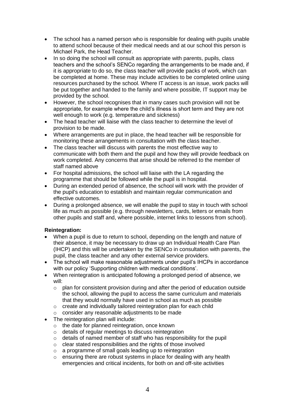- The school has a named person who is responsible for dealing with pupils unable to attend school because of their medical needs and at our school this person is Michael Park, the Head Teacher.
- In so doing the school will consult as appropriate with parents, pupils, class teachers and the school's SENCo regarding the arrangements to be made and, if it is appropriate to do so, the class teacher will provide packs of work, which can be completed at home. These may include activities to be completed online using resources purchased by the school. Where IT access is an issue, work packs will be put together and handed to the family and where possible, IT support may be provided by the school.
- However, the school recognises that in many cases such provision will not be appropriate, for example where the child's illness is short term and they are not well enough to work (e.g. temperature and sickness)
- The head teacher will liaise with the class teacher to determine the level of provision to be made.
- Where arrangements are put in place, the head teacher will be responsible for monitoring these arrangements in consultation with the class teacher.
- The class teacher will discuss with parents the most effective way to communicate with both them and the pupil and how they will provide feedback on work completed. Any concerns that arise should be referred to the member of staff named above
- For hospital admissions, the school will liaise with the LA regarding the programme that should be followed while the pupil is in hospital.
- During an extended period of absence, the school will work with the provider of the pupil's education to establish and maintain regular communication and effective outcomes.
- During a prolonged absence, we will enable the pupil to stay in touch with school life as much as possible (e.g. through newsletters, cards, letters or emails from other pupils and staff and, where possible, internet links to lessons from school).

# **Reintegration:**

- When a pupil is due to return to school, depending on the length and nature of their absence, it may be necessary to draw up an Individual Health Care Plan (IHCP) and this will be undertaken by the SENCo in consultation with parents, the pupil, the class teacher and any other external service providers.
- The school will make reasonable adjustments under pupil's IHCPs in accordance with our policy 'Supporting children with medical conditions'.
- When reintegration is anticipated following a prolonged period of absence, we will:
	- $\circ$  plan for consistent provision during and after the period of education outside the school, allowing the pupil to access the same curriculum and materials that they would normally have used in school as much as possible
	- o create and individually tailored reintegration plan for each child
	- o consider any reasonable adjustments to be made
- The reintegration plan will include:
	- o the date for planned reintegration, once known
	- o details of regular meetings to discuss reintegration
	- o details of named member of staff who has responsibility for the pupil
	- $\circ$  clear stated responsibilities and the rights of those involved
	- o a programme of small goals leading up to reintegration
	- $\circ$  ensuring there are robust systems in place for dealing with any health emergencies and critical incidents, for both on and off-site activities